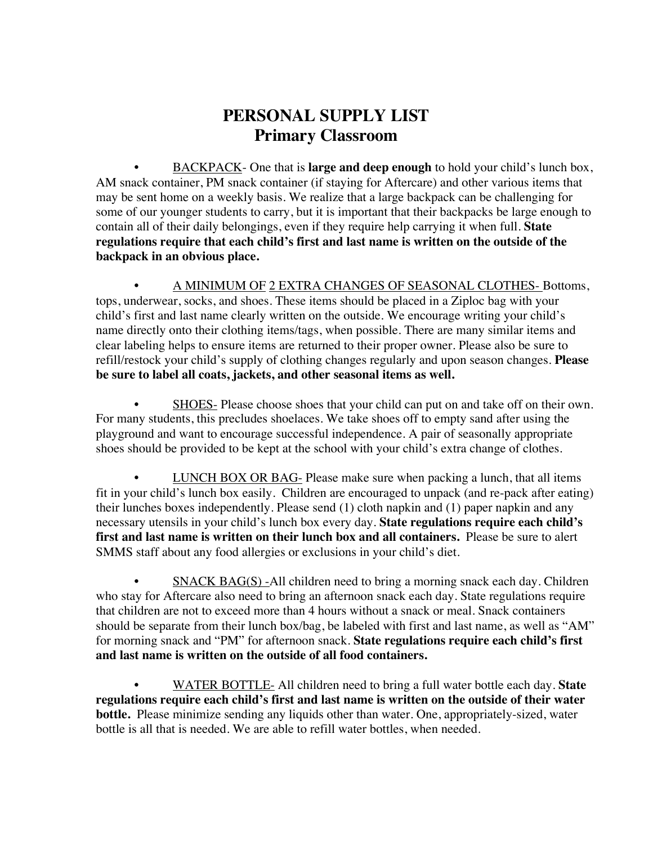## **PERSONAL SUPPLY LIST Primary Classroom**

• BACKPACK- One that is **large and deep enough** to hold your child's lunch box, AM snack container, PM snack container (if staying for Aftercare) and other various items that may be sent home on a weekly basis. We realize that a large backpack can be challenging for some of our younger students to carry, but it is important that their backpacks be large enough to contain all of their daily belongings, even if they require help carrying it when full. **State regulations require that each child's first and last name is written on the outside of the backpack in an obvious place.**

• A MINIMUM OF 2 EXTRA CHANGES OF SEASONAL CLOTHES- Bottoms, tops, underwear, socks, and shoes. These items should be placed in a Ziploc bag with your child's first and last name clearly written on the outside. We encourage writing your child's name directly onto their clothing items/tags, when possible. There are many similar items and clear labeling helps to ensure items are returned to their proper owner. Please also be sure to refill/restock your child's supply of clothing changes regularly and upon season changes. **Please be sure to label all coats, jackets, and other seasonal items as well.**

SHOES- Please choose shoes that your child can put on and take off on their own. For many students, this precludes shoelaces. We take shoes off to empty sand after using the playground and want to encourage successful independence. A pair of seasonally appropriate shoes should be provided to be kept at the school with your child's extra change of clothes.

• LUNCH BOX OR BAG- Please make sure when packing a lunch, that all items fit in your child's lunch box easily. Children are encouraged to unpack (and re-pack after eating) their lunches boxes independently. Please send (1) cloth napkin and (1) paper napkin and any necessary utensils in your child's lunch box every day. **State regulations require each child's first and last name is written on their lunch box and all containers.** Please be sure to alert SMMS staff about any food allergies or exclusions in your child's diet.

• SNACK BAG(S) -All children need to bring a morning snack each day. Children who stay for Aftercare also need to bring an afternoon snack each day. State regulations require that children are not to exceed more than 4 hours without a snack or meal. Snack containers should be separate from their lunch box/bag, be labeled with first and last name, as well as "AM" for morning snack and "PM" for afternoon snack. **State regulations require each child's first and last name is written on the outside of all food containers.**

• WATER BOTTLE- All children need to bring a full water bottle each day. **State regulations require each child's first and last name is written on the outside of their water bottle.** Please minimize sending any liquids other than water. One, appropriately-sized, water bottle is all that is needed. We are able to refill water bottles, when needed.